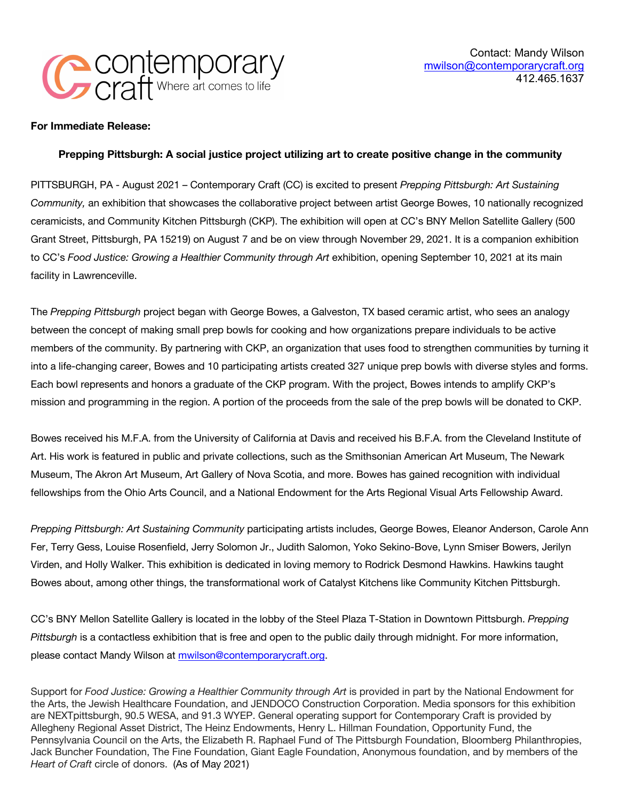

## **For Immediate Release:**

## **Prepping Pittsburgh: A social justice project utilizing art to create positive change in the community**

PITTSBURGH, PA - August 2021 – Contemporary Craft (CC) is excited to present *Prepping Pittsburgh: Art Sustaining Community,* an exhibition that showcases the collaborative project between artist George Bowes, 10 nationally recognized ceramicists, and Community Kitchen Pittsburgh (CKP). The exhibition will open at CC's BNY Mellon Satellite Gallery (500 Grant Street, Pittsburgh, PA 15219) on August 7 and be on view through November 29, 2021. It is a companion exhibition to CC's *Food Justice: Growing a Healthier Community through Art* exhibition, opening September 10, 2021 at its main facility in Lawrenceville.

The *Prepping Pittsburgh* project began with George Bowes, a Galveston, TX based ceramic artist, who sees an analogy between the concept of making small prep bowls for cooking and how organizations prepare individuals to be active members of the community. By partnering with CKP, an organization that uses food to strengthen communities by turning it into a life-changing career, Bowes and 10 participating artists created 327 unique prep bowls with diverse styles and forms. Each bowl represents and honors a graduate of the CKP program. With the project, Bowes intends to amplify CKP's mission and programming in the region. A portion of the proceeds from the sale of the prep bowls will be donated to CKP.

Bowes received his M.F.A. from the University of California at Davis and received his B.F.A. from the Cleveland Institute of Art. His work is featured in public and private collections, such as the Smithsonian American Art Museum, The Newark Museum, The Akron Art Museum, Art Gallery of Nova Scotia, and more. Bowes has gained recognition with individual fellowships from the Ohio Arts Council, and a National Endowment for the Arts Regional Visual Arts Fellowship Award.

*Prepping Pittsburgh: Art Sustaining Community* participating artists includes, George Bowes, Eleanor Anderson, Carole Ann Fer, Terry Gess, Louise Rosenfield, Jerry Solomon Jr., Judith Salomon, Yoko Sekino-Bove, Lynn Smiser Bowers, Jerilyn Virden, and Holly Walker. This exhibition is dedicated in loving memory to Rodrick Desmond Hawkins. Hawkins taught Bowes about, among other things, the transformational work of Catalyst Kitchens like Community Kitchen Pittsburgh.

CC's BNY Mellon Satellite Gallery is located in the lobby of the Steel Plaza T-Station in Downtown Pittsburgh. *Prepping Pittsburgh* is a contactless exhibition that is free and open to the public daily through midnight. For more information, please contact Mandy Wilson at mwilson@contemporarycraft.org.

Support for *Food Justice: Growing a Healthier Community through Art* is provided in part by the National Endowment for the Arts, the Jewish Healthcare Foundation, and JENDOCO Construction Corporation. Media sponsors for this exhibition are NEXTpittsburgh, 90.5 WESA, and 91.3 WYEP. General operating support for Contemporary Craft is provided by Allegheny Regional Asset District, The Heinz Endowments, Henry L. Hillman Foundation, Opportunity Fund, the Pennsylvania Council on the Arts, the Elizabeth R. Raphael Fund of The Pittsburgh Foundation, Bloomberg Philanthropies, Jack Buncher Foundation, The Fine Foundation, Giant Eagle Foundation, Anonymous foundation, and by members of the *Heart of Craft* circle of donors. (As of May 2021)